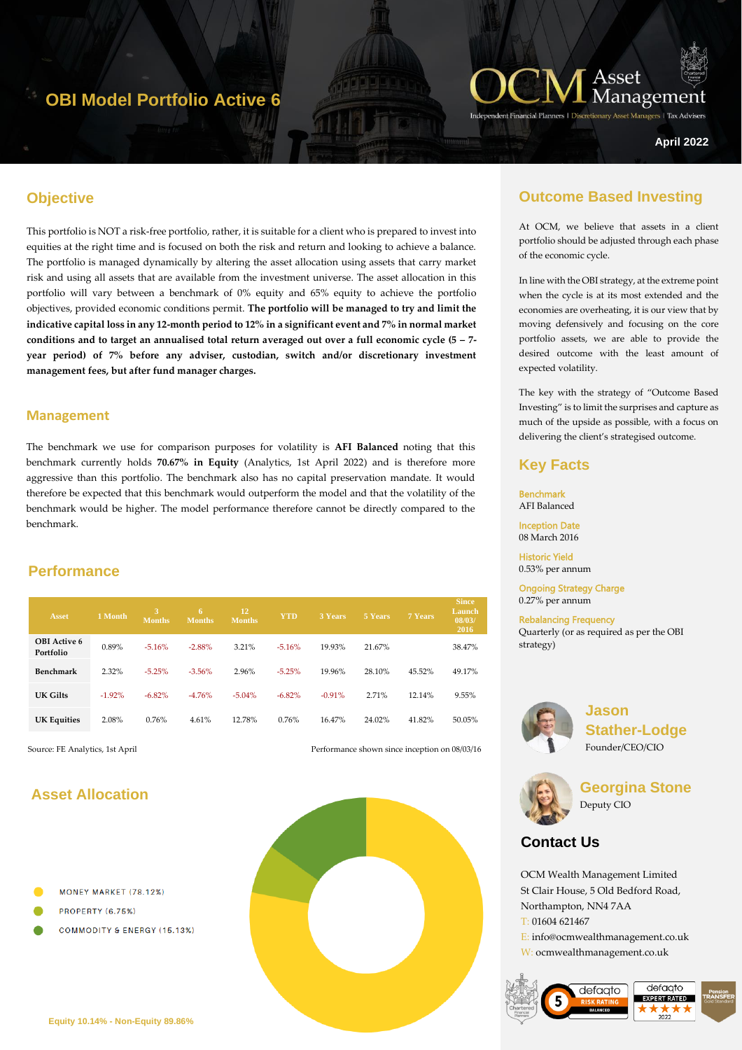## **OBI Model Portfolio Active 6**



**Managers** | Tax Advise

**April 2022**

#### **Objective**

hgyt67 This portfolio is NOT a risk-free portfolio, rather, it is suitable for a client who is prepared to invest into equities at the right time and is focused on both the risk and return and looking to achieve a balance. The portfolio is managed dynamically by altering the asset allocation using assets that carry market risk and using all assets that are available from the investment universe. The asset allocation in this portfolio will vary between a benchmark of 0% equity and 65% equity to achieve the portfolio objectives, provided economic conditions permit. **The portfolio will be managed to try and limit the indicative capital loss in any 12-month period to 12% in a significant event and 7% in normal market conditions and to target an annualised total return averaged out over a full economic cycle (5 – 7 year period) of 7% before any adviser, custodian, switch and/or discretionary investment management fees, but after fund manager charges.**

#### **Management**

The benchmark we use for comparison purposes for volatility is **AFI Balanced** noting that this benchmark currently holds **70.67% in Equity** (Analytics, 1st April 2022) and is therefore more aggressive than this portfolio. The benchmark also has no capital preservation mandate. It would therefore be expected that this benchmark would outperform the model and that the volatility of the benchmark would be higher. The model performance therefore cannot be directly compared to the benchmark.

#### **Performance**

| <b>Asset</b>                     | 1 Month  | 3<br><b>Months</b> | 6<br><b>Months</b> | 12<br><b>Months</b> | <b>YTD</b> | 3 Years  | 5 Years | 7 Years | <b>Since</b><br>Launch<br>08/03/<br>2016 |
|----------------------------------|----------|--------------------|--------------------|---------------------|------------|----------|---------|---------|------------------------------------------|
| <b>OBI</b> Active 6<br>Portfolio | 0.89%    | $-5.16%$           | $-2.88%$           | 3.21%               | $-5.16%$   | 19.93%   | 21.67%  |         | 38.47%                                   |
| Benchmark                        | 2.32%    | $-5.25%$           | $-3.56%$           | 2.96%               | $-5.25%$   | 19.96%   | 28.10%  | 45.52%  | 49.17%                                   |
| UK Gilts                         | $-1.92%$ | $-6.82%$           | $-4.76%$           | $-5.04%$            | $-6.82%$   | $-0.91%$ | 2.71%   | 12.14%  | 9.55%                                    |
| <b>UK Equities</b>               | 2.08%    | 0.76%              | 4.61%              | 12.78%              | 0.76%      | 16.47%   | 24.02%  | 41.82%  | 50.05%                                   |

Source: FE Analytics, 1st April Performance shown since inception on 08/03/16

## **Asset Allocation**

- MONEY MARKET (78.12%)
- PROPERTY (6.75%)
- **COMMODITY & ENERGY (15.13%)**



## **Outcome Based Investing**

At OCM, we believe that assets in a client portfolio should be adjusted through each phase of the economic cycle.

In line with the OBI strategy, at the extreme point when the cycle is at its most extended and the economies are overheating, it is our view that by moving defensively and focusing on the core portfolio assets, we are able to provide the desired outcome with the least amount of expected volatility.

The key with the strategy of "Outcome Based Investing" is to limit the surprises and capture as much of the upside as possible, with a focus on delivering the client's strategised outcome.

#### **Key Facts**

Benchmark AFI Balanced Inception Date

08 March 2016

Historic Yield 0.53% per annum

Ongoing Strategy Charge 0.27% per annum

Rebalancing Frequency Quarterly (or as required as per the OBI strategy)



**Jason Stather-Lodge** Founder/CEO/CIO



**Georgina Stone** Deputy CIO

## **Contact Us**

OCM Wealth Management Limited St Clair House, 5 Old Bedford Road, Northampton, NN4 7AA T: 01604 621467 E: info@ocmwealthmanagement.co.uk W: ocmwealthmanagement.co.uk